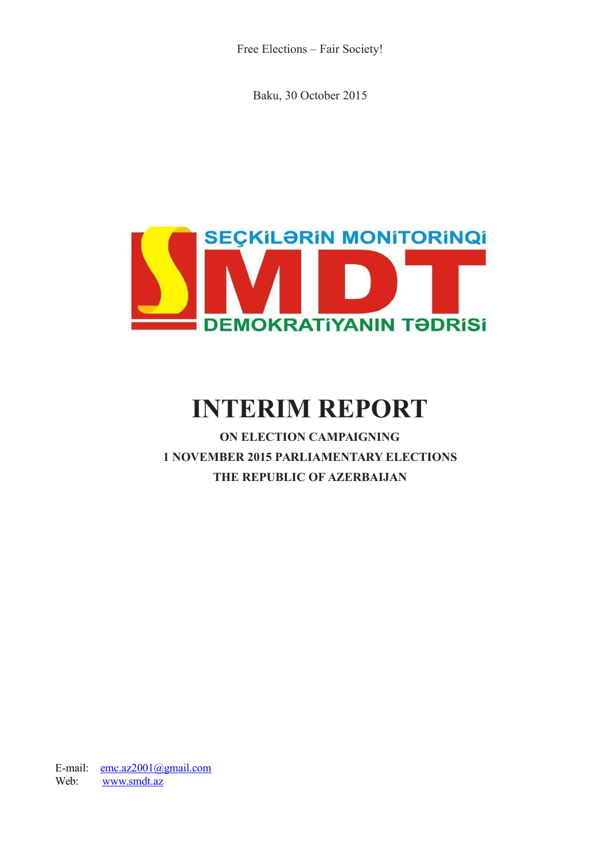Free Elections – Fair Society!

Baku, 30 October 2015



# **INTERIM REPORT**

**ON ELECTION CAMPAIGNING 1 NOVEMBER 2015 PARLIAMENTARY ELECTIONS THE REPUBLIC OF AZERBAIJAN**

E-mail: [emc.az2001@gmail.com](mailto:emc.az2001@gmail.com) Web: [www.smdt.az](http://www.smdt.az/)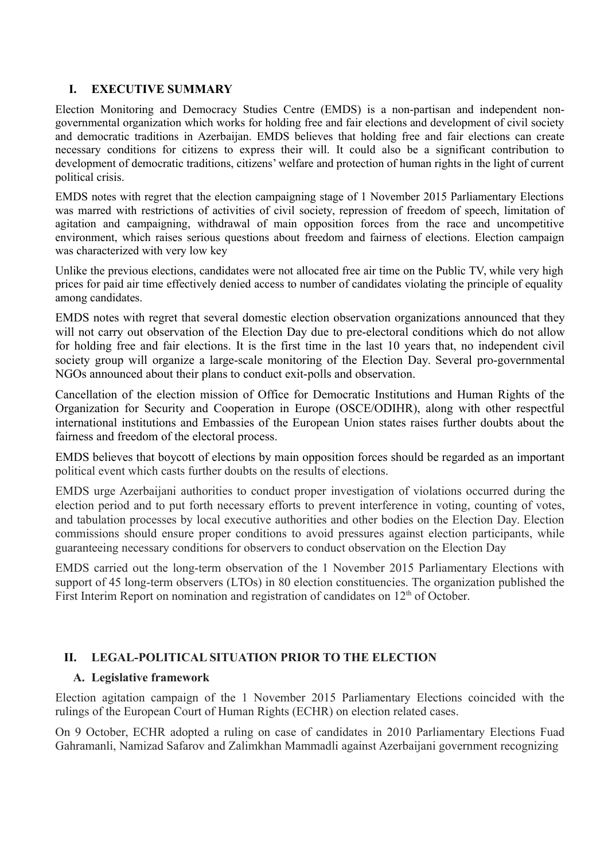# **I. EXECUTIVE SUMMARY**

Election Monitoring and Democracy Studies Centre (EMDS) is a non-partisan and independent nongovernmental organization which works for holding free and fair elections and development of civil society and democratic traditions in Azerbaijan. EMDS believes that holding free and fair elections can create necessary conditions for citizens to express their will. It could also be a significant contribution to development of democratic traditions, citizens' welfare and protection of human rights in the light of current political crisis.

EMDS notes with regret that the election campaigning stage of 1 November 2015 Parliamentary Elections was marred with restrictions of activities of civil society, repression of freedom of speech, limitation of agitation and campaigning, withdrawal of main opposition forces from the race and uncompetitive environment, which raises serious questions about freedom and fairness of elections. Election campaign was characterized with very low key

Unlike the previous elections, candidates were not allocated free air time on the Public TV, while very high prices for paid air time effectively denied access to number of candidates violating the principle of equality among candidates.

EMDS notes with regret that several domestic election observation organizations announced that they will not carry out observation of the Election Day due to pre-electoral conditions which do not allow for holding free and fair elections. It is the first time in the last 10 years that, no independent civil society group will organize a large-scale monitoring of the Election Day. Several pro-governmental NGOs announced about their plans to conduct exit-polls and observation.

Cancellation of the election mission of Office for Democratic Institutions and Human Rights of the Organization for Security and Cooperation in Europe (OSCE/ODIHR), along with other respectful international institutions and Embassies of the European Union states raises further doubts about the fairness and freedom of the electoral process.

EMDS believes that boycott of elections by main opposition forces should be regarded as an important political event which casts further doubts on the results of elections.

EMDS urge Azerbaijani authorities to conduct proper investigation of violations occurred during the election period and to put forth necessary efforts to prevent interference in voting, counting of votes, and tabulation processes by local executive authorities and other bodies on the Election Day. Election commissions should ensure proper conditions to avoid pressures against election participants, while guaranteeing necessary conditions for observers to conduct observation on the Election Day

EMDS carried out the long-term observation of the 1 November 2015 Parliamentary Elections with support of 45 long-term observers (LTOs) in 80 election constituencies. The organization published the First Interim Report on nomination and registration of candidates on  $12<sup>th</sup>$  of October.

# **II. LEGAL-POLITICAL SITUATION PRIOR TO THE ELECTION**

# **A. Legislative framework**

Election agitation campaign of the 1 November 2015 Parliamentary Elections coincided with the rulings of the European Court of Human Rights (ECHR) on election related cases.

On 9 October, ECHR adopted a ruling on case of candidates in 2010 Parliamentary Elections Fuad Gahramanli, Namizad Safarov and Zalimkhan Mammadli against Azerbaijani government recognizing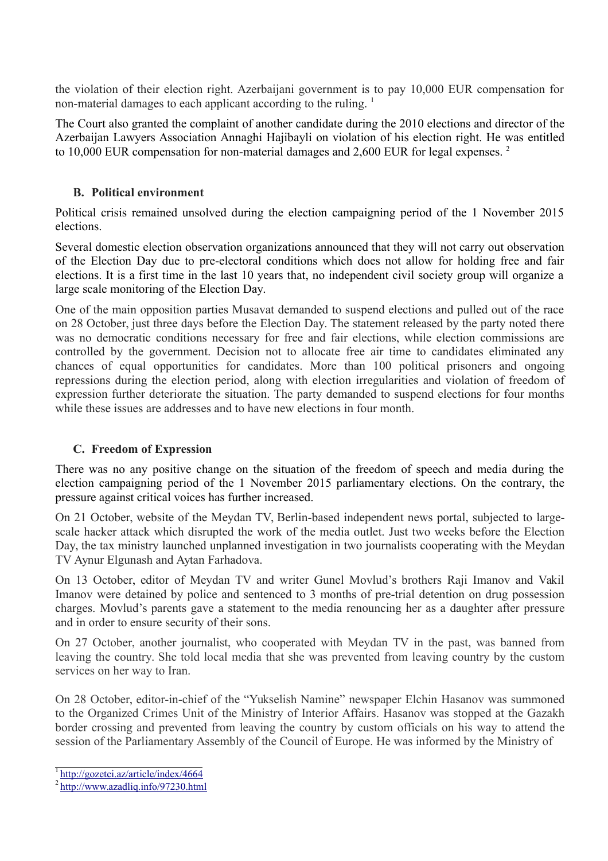the violation of their election right. Azerbaijani government is to pay 10,000 EUR compensation for non-material damages to each applicant according to the ruling.<sup>1</sup>

The Court also granted the complaint of another candidate during the 2010 elections and director of the Azerbaijan Lawyers Association Annaghi Hajibayli on violation of his election right. He was entitled to 10,000 EUR compensation for non-material damages and 2,600 EUR for legal expenses.<sup>2</sup>

# **B. Political environment**

Political crisis remained unsolved during the election campaigning period of the 1 November 2015 elections.

Several domestic election observation organizations announced that they will not carry out observation of the Election Day due to pre-electoral conditions which does not allow for holding free and fair elections. It is a first time in the last 10 years that, no independent civil society group will organize a large scale monitoring of the Election Day.

One of the main opposition parties Musavat demanded to suspend elections and pulled out of the race on 28 October, just three days before the Election Day. The statement released by the party noted there was no democratic conditions necessary for free and fair elections, while election commissions are controlled by the government. Decision not to allocate free air time to candidates eliminated any chances of equal opportunities for candidates. More than 100 political prisoners and ongoing repressions during the election period, along with election irregularities and violation of freedom of expression further deteriorate the situation. The party demanded to suspend elections for four months while these issues are addresses and to have new elections in four month.

# **C. Freedom of Expression**

There was no any positive change on the situation of the freedom of speech and media during the election campaigning period of the 1 November 2015 parliamentary elections. On the contrary, the pressure against critical voices has further increased.

On 21 October, website of the Meydan TV, Berlin-based independent news portal, subjected to largescale hacker attack which disrupted the work of the media outlet. Just two weeks before the Election Day, the tax ministry launched unplanned investigation in two journalists cooperating with the Meydan TV Aynur Elgunash and Aytan Farhadova.

On 13 October, editor of Meydan TV and writer Gunel Movlud's brothers Raji Imanov and Vakil Imanov were detained by police and sentenced to 3 months of pre-trial detention on drug possession charges. Movlud's parents gave a statement to the media renouncing her as a daughter after pressure and in order to ensure security of their sons.

On 27 October, another journalist, who cooperated with Meydan TV in the past, was banned from leaving the country. She told local media that she was prevented from leaving country by the custom services on her way to Iran.

On 28 October, editor-in-chief of the "Yukselish Namine" newspaper Elchin Hasanov was summoned to the Organized Crimes Unit of the Ministry of Interior Affairs. Hasanov was stopped at the Gazakh border crossing and prevented from leaving the country by custom officials on his way to attend the session of the Parliamentary Assembly of the Council of Europe. He was informed by the Ministry of

<sup>1</sup><http://gozetci.az/article/index/4664>

<sup>2</sup><http://www.azadliq.info/97230.html>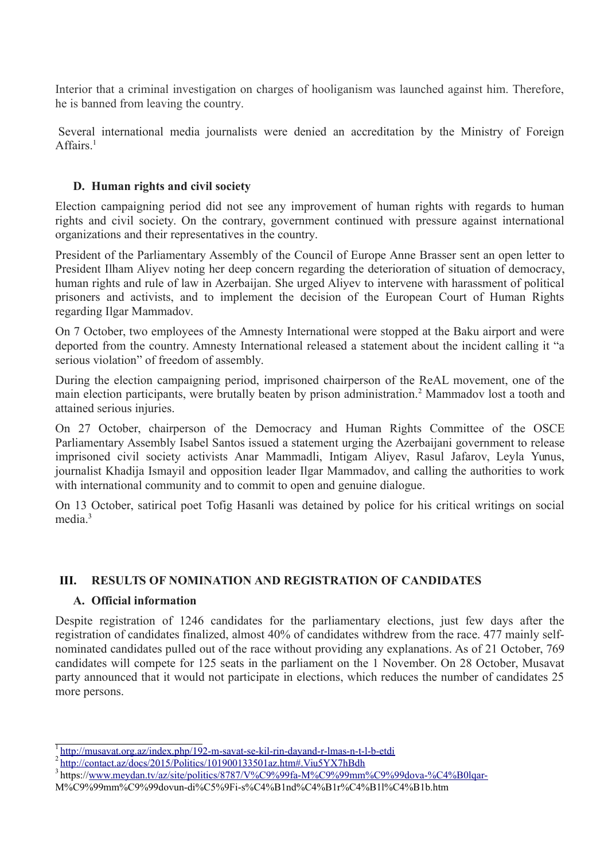Interior that a criminal investigation on charges of hooliganism was launched against him. Therefore, he is banned from leaving the country.

Several international media journalists were denied an accreditation by the Ministry of Foreign Affairs $1$ 

# **D. Human rights and civil society**

Election campaigning period did not see any improvement of human rights with regards to human rights and civil society. On the contrary, government continued with pressure against international organizations and their representatives in the country.

President of the Parliamentary Assembly of the Council of Europe Anne Brasser sent an open letter to President Ilham Aliyev noting her deep concern regarding the deterioration of situation of democracy, human rights and rule of law in Azerbaijan. She urged Aliyev to intervene with harassment of political prisoners and activists, and to implement the decision of the European Court of Human Rights regarding Ilgar Mammadov.

On 7 October, two employees of the Amnesty International were stopped at the Baku airport and were deported from the country. Amnesty International released a statement about the incident calling it "a serious violation" of freedom of assembly.

During the election campaigning period, imprisoned chairperson of the ReAL movement, one of the main election participants, were brutally beaten by prison administration.<sup>2</sup> Mammadov lost a tooth and attained serious injuries.

On 27 October, chairperson of the Democracy and Human Rights Committee of the OSCE Parliamentary Assembly Isabel Santos issued a statement urging the Azerbaijani government to release imprisoned civil society activists Anar Mammadli, Intigam Aliyev, Rasul Jafarov, Leyla Yunus, journalist Khadija Ismayil and opposition leader Ilgar Mammadov, and calling the authorities to work with international community and to commit to open and genuine dialogue.

On 13 October, satirical poet Tofig Hasanli was detained by police for his critical writings on social media<sup>3</sup>

# **III. RESULTS OF NOMINATION AND REGISTRATION OF CANDIDATES**

# **A. Official information**

Despite registration of 1246 candidates for the parliamentary elections, just few days after the registration of candidates finalized, almost 40% of candidates withdrew from the race. 477 mainly selfnominated candidates pulled out of the race without providing any explanations. As of 21 October, 769 candidates will compete for 125 seats in the parliament on the 1 November. On 28 October, Musavat party announced that it would not participate in elections, which reduces the number of candidates 25 more persons.

<sup>&</sup>lt;sup>1</sup><http://musavat.org.az/index.php/192-m-savat-se-kil-rin-dayand-r-lmas-n-t-l-b-etdi>

<sup>&</sup>lt;sup>2</sup><http://contact.az/docs/2015/Politics/101900133501az.htm#.Viu5YX7hBdh>

<sup>&</sup>lt;sup>3</sup>https:/[/www.meydan.tv/az/site/politics/8787/V%C9%99fa-M%C9%99mm%C9%99dova-%C4%B0lqar-](http://www.meydan.tv/az/site/politics/8787/V%C9%99fa-M%C9%99mm%C9%99dova-%C4%B0lqar-)

M%C9%99mm%C9%99dovun-di%C5%9Fi-s%C4%B1nd%C4%B1r%C4%B1l%C4%B1b.htm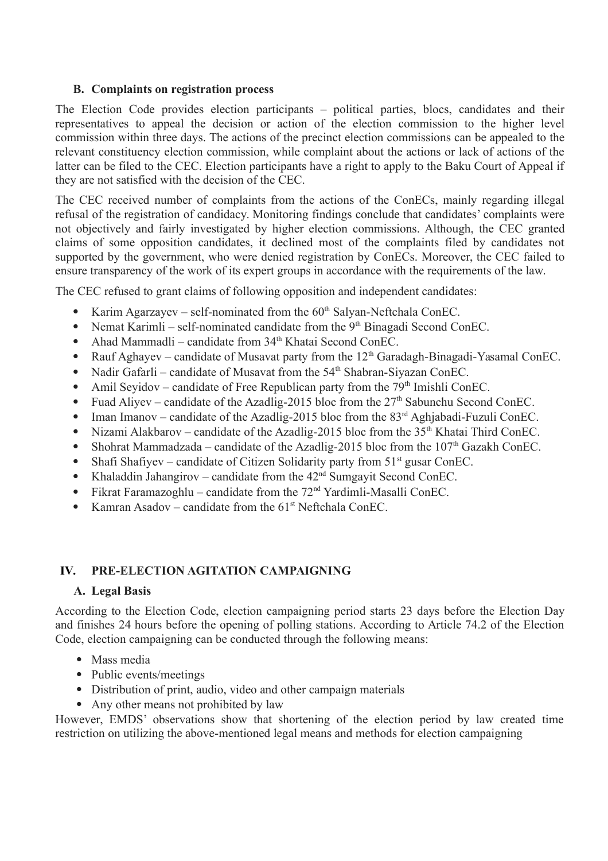# **B. Complaints on registration process**

The Election Code provides election participants – political parties, blocs, candidates and their representatives to appeal the decision or action of the election commission to the higher level commission within three days. The actions of the precinct election commissions can be appealed to the relevant constituency election commission, while complaint about the actions or lack of actions of the latter can be filed to the CEC. Election participants have a right to apply to the Baku Court of Appeal if they are not satisfied with the decision of the CEC.

The CEC received number of complaints from the actions of the ConECs, mainly regarding illegal refusal of the registration of candidacy. Monitoring findings conclude that candidates' complaints were not objectively and fairly investigated by higher election commissions. Although, the CEC granted claims of some opposition candidates, it declined most of the complaints filed by candidates not supported by the government, who were denied registration by ConECs. Moreover, the CEC failed to ensure transparency of the work of its expert groups in accordance with the requirements of the law.

The CEC refused to grant claims of following opposition and independent candidates:

- Karim Agarzayev self-nominated from the  $60<sup>th</sup>$  Salyan-Neftchala ConEC.
- Nemat Karimli self-nominated candidate from the  $9<sup>th</sup> B$ inagadi Second ConEC.
- Ahad Mammadli candidate from 34<sup>th</sup> Khatai Second ConEC.
- Rauf Aghayev candidate of Musavat party from the  $12<sup>th</sup>$  Garadagh-Binagadi-Yasamal ConEC.
- Nadir Gafarli candidate of Musavat from the  $54<sup>th</sup>$  Shabran-Siyazan ConEC.
- Amil Seyidov candidate of Free Republican party from the  $79<sup>th</sup>$  Imishli ConEC.
- Fuad Aliyev candidate of the Azadlig-2015 bloc from the  $27<sup>th</sup>$  Sabunchu Second ConEC.
- Iman Imanov candidate of the Azadlig-2015 bloc from the  $83<sup>rd</sup>$  Aghjabadi-Fuzuli ConEC.
- Nizami Alakbarov candidate of the Azadlig-2015 bloc from the  $35<sup>th</sup>$  Khatai Third ConEC.
- Shohrat Mammadzada candidate of the Azadlig-2015 bloc from the  $107<sup>th</sup>$  Gazakh ConEC.
- Shafi Shafiyev candidate of Citizen Solidarity party from  $51<sup>st</sup>$  gusar ConEC.
- Khaladdin Jahangirov candidate from the  $42<sup>nd</sup>$  Sumgayit Second ConEC.
- Fikrat Faramazoghlu candidate from the  $72<sup>nd</sup>$  Yardimli-Masalli ConEC.
- Kamran Asadov candidate from the  $61<sup>st</sup>$  Neftchala ConEC.

# **IV. PRE-ELECTION AGITATION CAMPAIGNING**

# **A. Legal Basis**

According to the Election Code, election campaigning period starts 23 days before the Election Day and finishes 24 hours before the opening of polling stations. According to Article 74.2 of the Election Code, election campaigning can be conducted through the following means:

- Mass media
- Public events/meetings
- Distribution of print, audio, video and other campaign materials
- Any other means not prohibited by law

However, EMDS' observations show that shortening of the election period by law created time restriction on utilizing the above-mentioned legal means and methods for election campaigning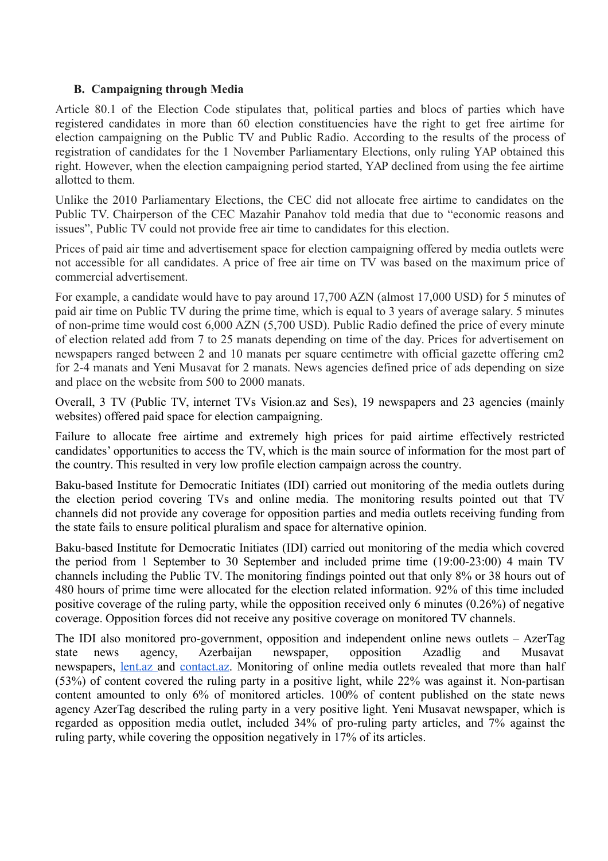# **B. Campaigning through Media**

Article 80.1 of the Election Code stipulates that, political parties and blocs of parties which have registered candidates in more than 60 election constituencies have the right to get free airtime for election campaigning on the Public TV and Public Radio. According to the results of the process of registration of candidates for the 1 November Parliamentary Elections, only ruling YAP obtained this right. However, when the election campaigning period started, YAP declined from using the fee airtime allotted to them.

Unlike the 2010 Parliamentary Elections, the CEC did not allocate free airtime to candidates on the Public TV. Chairperson of the CEC Mazahir Panahov told media that due to "economic reasons and issues", Public TV could not provide free air time to candidates for this election.

Prices of paid air time and advertisement space for election campaigning offered by media outlets were not accessible for all candidates. A price of free air time on TV was based on the maximum price of commercial advertisement.

For example, a candidate would have to pay around 17,700 AZN (almost 17,000 USD) for 5 minutes of paid air time on Public TV during the prime time, which is equal to 3 years of average salary. 5 minutes of non-prime time would cost 6,000 AZN (5,700 USD). Public Radio defined the price of every minute of election related add from 7 to 25 manats depending on time of the day. Prices for advertisement on newspapers ranged between 2 and 10 manats per square centimetre with official gazette offering cm2 for 2-4 manats and Yeni Musavat for 2 manats. News agencies defined price of ads depending on size and place on the website from 500 to 2000 manats.

Overall, 3 TV (Public TV, internet TVs Vision.az and Ses), 19 newspapers and 23 agencies (mainly websites) offered paid space for election campaigning.

Failure to allocate free airtime and extremely high prices for paid airtime effectively restricted candidates' opportunities to access the TV, which is the main source of information for the most part of the country. This resulted in very low profile election campaign across the country.

Baku-based Institute for Democratic Initiates (IDI) carried out monitoring of the media outlets during the election period covering TVs and online media. The monitoring results pointed out that TV channels did not provide any coverage for opposition parties and media outlets receiving funding from the state fails to ensure political pluralism and space for alternative opinion.

Baku-based Institute for Democratic Initiates (IDI) carried out monitoring of the media which covered the period from 1 September to 30 September and included prime time (19:00-23:00) 4 main TV channels including the Public TV. The monitoring findings pointed out that only 8% or 38 hours out of 480 hours of prime time were allocated for the election related information. 92% of this time included positive coverage of the ruling party, while the opposition received only 6 minutes (0.26%) of negative coverage. Opposition forces did not receive any positive coverage on monitored TV channels.

The IDI also monitored pro-government, opposition and independent online news outlets – AzerTag state news agency, Azerbaijan newspaper, opposition Azadlig and Musavat newspapers, [lent.az](http://lent.az/) and [contact.az.](http://contact.az/) Monitoring of online media outlets revealed that more than half (53%) of content covered the ruling party in a positive light, while 22% was against it. Non-partisan content amounted to only 6% of monitored articles. 100% of content published on the state news agency AzerTag described the ruling party in a very positive light. Yeni Musavat newspaper, which is regarded as opposition media outlet, included 34% of pro-ruling party articles, and 7% against the ruling party, while covering the opposition negatively in 17% of its articles.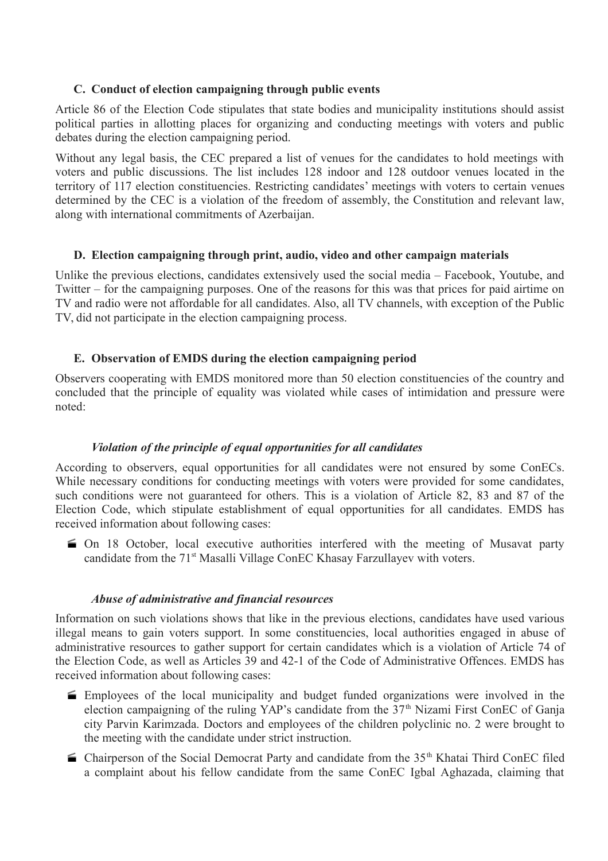# **C. Conduct of election campaigning through public events**

Article 86 of the Election Code stipulates that state bodies and municipality institutions should assist political parties in allotting places for organizing and conducting meetings with voters and public debates during the election campaigning period.

Without any legal basis, the CEC prepared a list of venues for the candidates to hold meetings with voters and public discussions. The list includes 128 indoor and 128 outdoor venues located in the territory of 117 election constituencies. Restricting candidates' meetings with voters to certain venues determined by the CEC is a violation of the freedom of assembly, the Constitution and relevant law, along with international commitments of Azerbaijan.

#### **D. Election campaigning through print, audio, video and other campaign materials**

Unlike the previous elections, candidates extensively used the social media – Facebook, Youtube, and Twitter – for the campaigning purposes. One of the reasons for this was that prices for paid airtime on TV and radio were not affordable for all candidates. Also, all TV channels, with exception of the Public TV, did not participate in the election campaigning process.

#### **E. Observation of EMDS during the election campaigning period**

Observers cooperating with EMDS monitored more than 50 election constituencies of the country and concluded that the principle of equality was violated while cases of intimidation and pressure were noted:

# *Violation of the principle of equal opportunities for all candidates*

According to observers, equal opportunities for all candidates were not ensured by some ConECs. While necessary conditions for conducting meetings with voters were provided for some candidates, such conditions were not guaranteed for others. This is a violation of Article 82, 83 and 87 of the Election Code, which stipulate establishment of equal opportunities for all candidates. EMDS has received information about following cases:

 On 18 October, local executive authorities interfered with the meeting of Musavat party candidate from the 71<sup>st</sup> Masalli Village ConEC Khasay Farzullayev with voters.

#### *Abuse of administrative and financial resources*

Information on such violations shows that like in the previous elections, candidates have used various illegal means to gain voters support. In some constituencies, local authorities engaged in abuse of administrative resources to gather support for certain candidates which is a violation of Article 74 of the Election Code, as well as Articles 39 and 42-1 of the Code of Administrative Offences. EMDS has received information about following cases:

- Employees of the local municipality and budget funded organizations were involved in the election campaigning of the ruling YAP's candidate from the  $37<sup>th</sup>$  Nizami First ConEC of Ganja city Parvin Karimzada. Doctors and employees of the children polyclinic no. 2 were brought to the meeting with the candidate under strict instruction.
- $\blacktriangleright$  Chairperson of the Social Democrat Party and candidate from the 35<sup>th</sup> Khatai Third ConEC filed a complaint about his fellow candidate from the same ConEC Igbal Aghazada, claiming that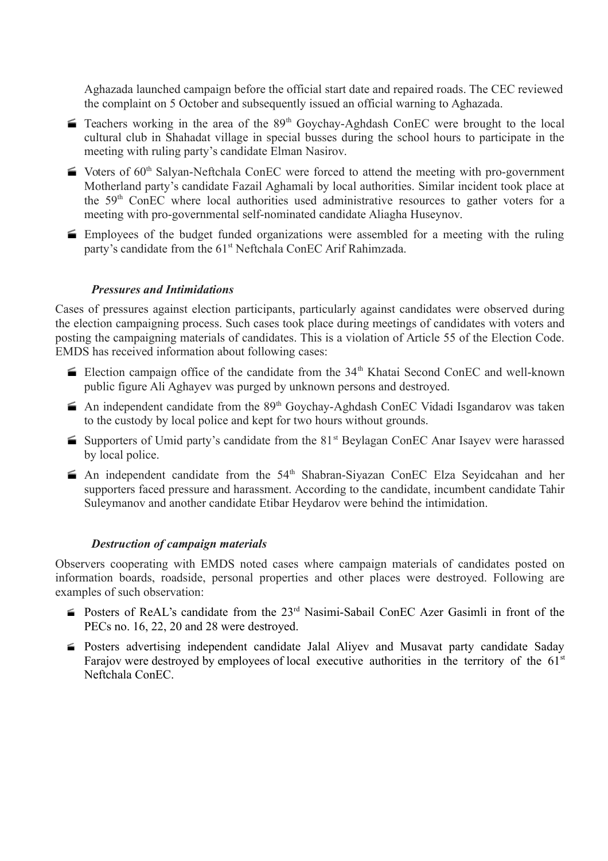Aghazada launched campaign before the official start date and repaired roads. The CEC reviewed the complaint on 5 October and subsequently issued an official warning to Aghazada.

- $\blacktriangleright$  Teachers working in the area of the 89<sup>th</sup> Goychay-Aghdash ConEC were brought to the local cultural club in Shahadat village in special busses during the school hours to participate in the meeting with ruling party's candidate Elman Nasirov.
- $\blacktriangleright$  Voters of 60<sup>th</sup> Salyan-Neftchala ConEC were forced to attend the meeting with pro-government Motherland party's candidate Fazail Aghamali by local authorities. Similar incident took place at the 59th ConEC where local authorities used administrative resources to gather voters for a meeting with pro-governmental self-nominated candidate Aliagha Huseynov.
- Employees of the budget funded organizations were assembled for a meeting with the ruling party's candidate from the 61<sup>st</sup> Neftchala ConEC Arif Rahimzada.

#### *Pressures and Intimidations*

Cases of pressures against election participants, particularly against candidates were observed during the election campaigning process. Such cases took place during meetings of candidates with voters and posting the campaigning materials of candidates. This is a violation of Article 55 of the Election Code. EMDS has received information about following cases:

- Election campaign office of the candidate from the  $34<sup>th</sup>$  Khatai Second ConEC and well-known public figure Ali Aghayev was purged by unknown persons and destroyed.
- $\blacktriangleright$  An independent candidate from the 89<sup>th</sup> Goychay-Aghdash ConEC Vidadi Isgandarov was taken to the custody by local police and kept for two hours without grounds.
- Supporters of Umid party's candidate from the  $81<sup>st</sup>$  Beylagan ConEC Anar Isayev were harassed by local police.
- An independent candidate from the  $54<sup>th</sup>$  Shabran-Siyazan ConEC Elza Seyidcahan and her supporters faced pressure and harassment. According to the candidate, incumbent candidate Tahir Suleymanov and another candidate Etibar Heydarov were behind the intimidation.

#### *Destruction of campaign materials*

Observers cooperating with EMDS noted cases where campaign materials of candidates posted on information boards, roadside, personal properties and other places were destroyed. Following are examples of such observation:

- Posters of ReAL's candidate from the  $23<sup>rd</sup>$  Nasimi-Sabail ConEC Azer Gasimli in front of the PECs no. 16, 22, 20 and 28 were destroyed.
- Posters advertising independent candidate Jalal Aliyev and Musavat party candidate Saday Farajov were destroyed by employees of local executive authorities in the territory of the  $61<sup>st</sup>$ Neftchala ConEC.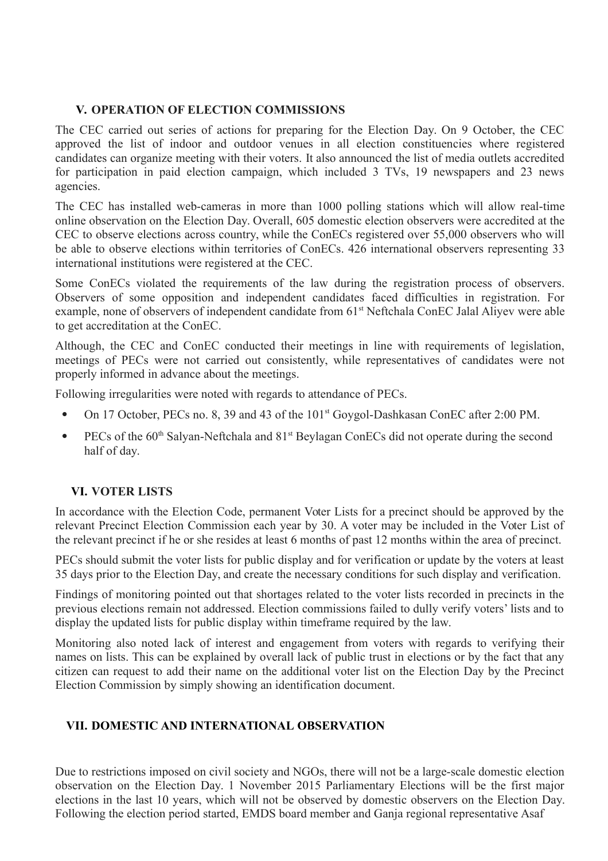## **V. OPERATION OF ELECTION COMMISSIONS**

The CEC carried out series of actions for preparing for the Election Day. On 9 October, the CEC approved the list of indoor and outdoor venues in all election constituencies where registered candidates can organize meeting with their voters. It also announced the list of media outlets accredited for participation in paid election campaign, which included 3 TVs, 19 newspapers and 23 news agencies.

The CEC has installed web-cameras in more than 1000 polling stations which will allow real-time online observation on the Election Day. Overall, 605 domestic election observers were accredited at the CEC to observe elections across country, while the ConECs registered over 55,000 observers who will be able to observe elections within territories of ConECs. 426 international observers representing 33 international institutions were registered at the CEC.

Some ConECs violated the requirements of the law during the registration process of observers. Observers of some opposition and independent candidates faced difficulties in registration. For example, none of observers of independent candidate from 61<sup>st</sup> Neftchala ConEC Jalal Aliyev were able to get accreditation at the ConEC.

Although, the CEC and ConEC conducted their meetings in line with requirements of legislation, meetings of PECs were not carried out consistently, while representatives of candidates were not properly informed in advance about the meetings.

Following irregularities were noted with regards to attendance of PECs.

- On 17 October, PECs no. 8, 39 and 43 of the 101<sup>st</sup> Goygol-Dashkasan ConEC after 2:00 PM.
- **•** PECs of the  $60<sup>th</sup>$  Salyan-Neftchala and  $81<sup>st</sup>$  Beylagan ConECs did not operate during the second half of day.

# **VI. VOTER LISTS**

In accordance with the Election Code, permanent Voter Lists for a precinct should be approved by the relevant Precinct Election Commission each year by 30. A voter may be included in the Voter List of the relevant precinct if he or she resides at least 6 months of past 12 months within the area of precinct.

PECs should submit the voter lists for public display and for verification or update by the voters at least 35 days prior to the Election Day, and create the necessary conditions for such display and verification.

Findings of monitoring pointed out that shortages related to the voter lists recorded in precincts in the previous elections remain not addressed. Election commissions failed to dully verify voters' lists and to display the updated lists for public display within timeframe required by the law.

Monitoring also noted lack of interest and engagement from voters with regards to verifying their names on lists. This can be explained by overall lack of public trust in elections or by the fact that any citizen can request to add their name on the additional voter list on the Election Day by the Precinct Election Commission by simply showing an identification document.

# **VII. DOMESTIC AND INTERNATIONAL OBSERVATION**

Due to restrictions imposed on civil society and NGOs, there will not be a large-scale domestic election observation on the Election Day. 1 November 2015 Parliamentary Elections will be the first major elections in the last 10 years, which will not be observed by domestic observers on the Election Day. Following the election period started, EMDS board member and Ganja regional representative Asaf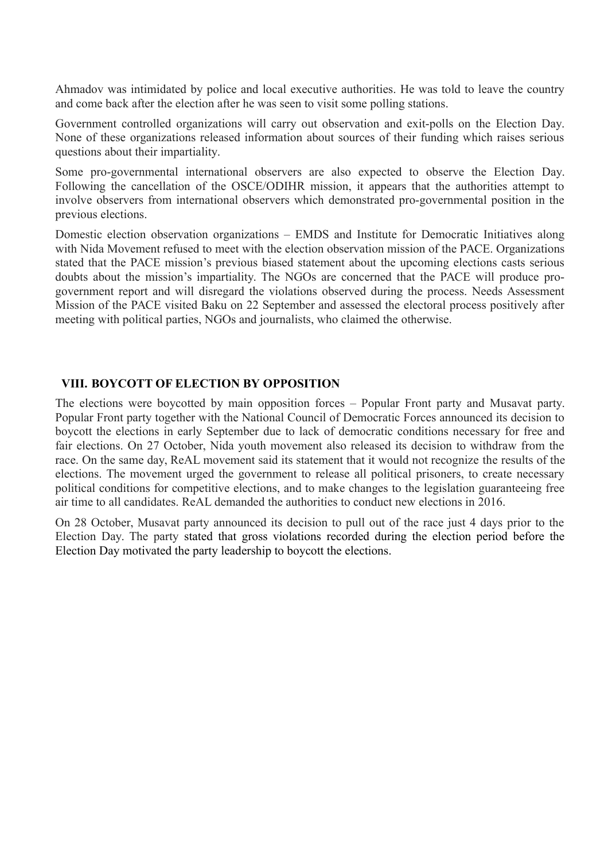Ahmadov was intimidated by police and local executive authorities. He was told to leave the country and come back after the election after he was seen to visit some polling stations.

Government controlled organizations will carry out observation and exit-polls on the Election Day. None of these organizations released information about sources of their funding which raises serious questions about their impartiality.

Some pro-governmental international observers are also expected to observe the Election Day. Following the cancellation of the OSCE/ODIHR mission, it appears that the authorities attempt to involve observers from international observers which demonstrated pro-governmental position in the previous elections.

Domestic election observation organizations – EMDS and Institute for Democratic Initiatives along with Nida Movement refused to meet with the election observation mission of the PACE. Organizations stated that the PACE mission's previous biased statement about the upcoming elections casts serious doubts about the mission's impartiality. The NGOs are concerned that the PACE will produce progovernment report and will disregard the violations observed during the process. Needs Assessment Mission of the PACE visited Baku on 22 September and assessed the electoral process positively after meeting with political parties, NGOs and journalists, who claimed the otherwise.

#### **VIII. BOYCOTT OF ELECTION BY OPPOSITION**

The elections were boycotted by main opposition forces – Popular Front party and Musavat party. Popular Front party together with the National Council of Democratic Forces announced its decision to boycott the elections in early September due to lack of democratic conditions necessary for free and fair elections. On 27 October, Nida youth movement also released its decision to withdraw from the race. On the same day, ReAL movement said its statement that it would not recognize the results of the elections. The movement urged the government to release all political prisoners, to create necessary political conditions for competitive elections, and to make changes to the legislation guaranteeing free air time to all candidates. ReAL demanded the authorities to conduct new elections in 2016.

On 28 October, Musavat party announced its decision to pull out of the race just 4 days prior to the Election Day. The party stated that gross violations recorded during the election period before the Election Day motivated the party leadership to boycott the elections.